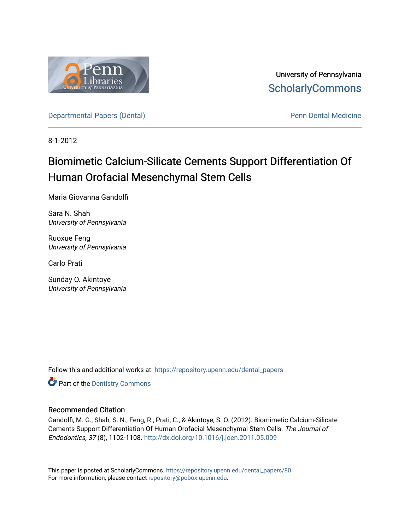

University of Pennsylvania **ScholarlyCommons** 

[Departmental Papers \(Dental\)](https://repository.upenn.edu/dental_papers) and Europe and Penn Dental Medicine

8-1-2012

# Biomimetic Calcium-Silicate Cements Support Differentiation Of Human Orofacial Mesenchymal Stem Cells

Maria Giovanna Gandolfi

Sara N. Shah University of Pennsylvania

Ruoxue Feng University of Pennsylvania

Carlo Prati

Sunday O. Akintoye University of Pennsylvania

Follow this and additional works at: [https://repository.upenn.edu/dental\\_papers](https://repository.upenn.edu/dental_papers?utm_source=repository.upenn.edu%2Fdental_papers%2F80&utm_medium=PDF&utm_campaign=PDFCoverPages)

**Part of the Dentistry Commons** 

## Recommended Citation

Gandolfi, M. G., Shah, S. N., Feng, R., Prati, C., & Akintoye, S. O. (2012). Biomimetic Calcium-Silicate Cements Support Differentiation Of Human Orofacial Mesenchymal Stem Cells. The Journal of Endodontics, 37 (8), 1102-1108.<http://dx.doi.org/10.1016/j.joen.2011.05.009>

This paper is posted at ScholarlyCommons. [https://repository.upenn.edu/dental\\_papers/80](https://repository.upenn.edu/dental_papers/80)  For more information, please contact [repository@pobox.upenn.edu.](mailto:repository@pobox.upenn.edu)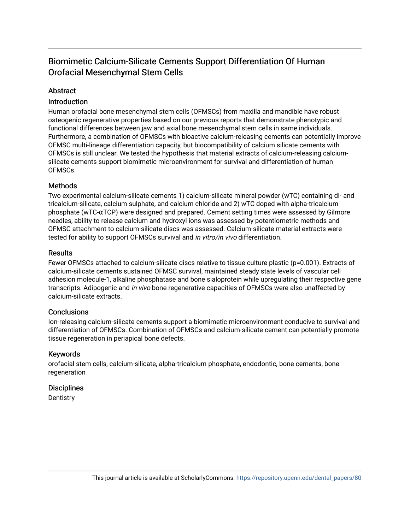## Biomimetic Calcium-Silicate Cements Support Differentiation Of Human Orofacial Mesenchymal Stem Cells

## Abstract

## Introduction

Human orofacial bone mesenchymal stem cells (OFMSCs) from maxilla and mandible have robust osteogenic regenerative properties based on our previous reports that demonstrate phenotypic and functional differences between jaw and axial bone mesenchymal stem cells in same individuals. Furthermore, a combination of OFMSCs with bioactive calcium-releasing cements can potentially improve OFMSC multi-lineage differentiation capacity, but biocompatibility of calcium silicate cements with OFMSCs is still unclear. We tested the hypothesis that material extracts of calcium-releasing calciumsilicate cements support biomimetic microenvironment for survival and differentiation of human OFMSCs.

## **Methods**

Two experimental calcium-silicate cements 1) calcium-silicate mineral powder (wTC) containing di- and tricalcium-silicate, calcium sulphate, and calcium chloride and 2) wTC doped with alpha-tricalcium phosphate (wTC-αTCP) were designed and prepared. Cement setting times were assessed by Gilmore needles, ability to release calcium and hydroxyl ions was assessed by potentiometric methods and OFMSC attachment to calcium-silicate discs was assessed. Calcium-silicate material extracts were tested for ability to support OFMSCs survival and in vitro/in vivo differentiation.

## **Results**

Fewer OFMSCs attached to calcium-silicate discs relative to tissue culture plastic (p=0.001). Extracts of calcium-silicate cements sustained OFMSC survival, maintained steady state levels of vascular cell adhesion molecule-1, alkaline phosphatase and bone sialoprotein while upregulating their respective gene transcripts. Adipogenic and in vivo bone regenerative capacities of OFMSCs were also unaffected by calcium-silicate extracts.

## **Conclusions**

Ion-releasing calcium-silicate cements support a biomimetic microenvironment conducive to survival and differentiation of OFMSCs. Combination of OFMSCs and calcium-silicate cement can potentially promote tissue regeneration in periapical bone defects.

## Keywords

orofacial stem cells, calcium-silicate, alpha-tricalcium phosphate, endodontic, bone cements, bone regeneration

## **Disciplines**

**Dentistry**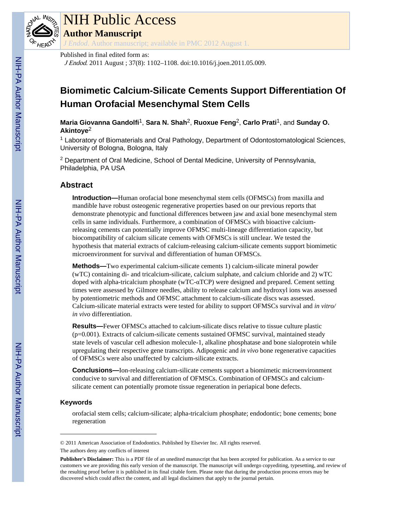

# NIH Public Access

**Author Manuscript**

*J Endod*. Author manuscript; available in PMC 2012 August 1.

## Published in final edited form as:

J Endod. 2011 August ; 37(8): 1102–1108. doi:10.1016/j.joen.2011.05.009.

## **Biomimetic Calcium-Silicate Cements Support Differentiation Of Human Orofacial Mesenchymal Stem Cells**

**Maria Giovanna Gandolfi**1, **Sara N. Shah**2, **Ruoxue Feng**2, **Carlo Prati**1, and **Sunday O. Akintoye**<sup>2</sup>

<sup>1</sup> Laboratory of Biomaterials and Oral Pathology, Department of Odontostomatological Sciences, University of Bologna, Bologna, Italy

<sup>2</sup> Department of Oral Medicine, School of Dental Medicine, University of Pennsylvania, Philadelphia, PA USA

## **Abstract**

**Introduction—**Human orofacial bone mesenchymal stem cells (OFMSCs) from maxilla and mandible have robust osteogenic regenerative properties based on our previous reports that demonstrate phenotypic and functional differences between jaw and axial bone mesenchymal stem cells in same individuals. Furthermore, a combination of OFMSCs with bioactive calciumreleasing cements can potentially improve OFMSC multi-lineage differentiation capacity, but biocompatibility of calcium silicate cements with OFMSCs is still unclear. We tested the hypothesis that material extracts of calcium-releasing calcium-silicate cements support biomimetic microenvironment for survival and differentiation of human OFMSCs.

**Methods—**Two experimental calcium-silicate cements 1) calcium-silicate mineral powder (wTC) containing di- and tricalcium-silicate, calcium sulphate, and calcium chloride and 2) wTC doped with alpha-tricalcium phosphate (wTC- $\alpha$ TCP) were designed and prepared. Cement setting times were assessed by Gilmore needles, ability to release calcium and hydroxyl ions was assessed by potentiometric methods and OFMSC attachment to calcium-silicate discs was assessed. Calcium-silicate material extracts were tested for ability to support OFMSCs survival and *in vitro/ in vivo* differentiation.

**Results—**Fewer OFMSCs attached to calcium-silicate discs relative to tissue culture plastic (p=0.001). Extracts of calcium-silicate cements sustained OFMSC survival, maintained steady state levels of vascular cell adhesion molecule-1, alkaline phosphatase and bone sialoprotein while upregulating their respective gene transcripts. Adipogenic and *in vivo* bone regenerative capacities of OFMSCs were also unaffected by calcium-silicate extracts.

**Conclusions—**Ion-releasing calcium-silicate cements support a biomimetic microenvironment conducive to survival and differentiation of OFMSCs. Combination of OFMSCs and calciumsilicate cement can potentially promote tissue regeneration in periapical bone defects.

## **Keywords**

orofacial stem cells; calcium-silicate; alpha-tricalcium phosphate; endodontic; bone cements; bone regeneration

<sup>© 2011</sup> American Association of Endodontics. Published by Elsevier Inc. All rights reserved. The authors deny any conflicts of interest

**Publisher's Disclaimer:** This is a PDF file of an unedited manuscript that has been accepted for publication. As a service to our customers we are providing this early version of the manuscript. The manuscript will undergo copyediting, typesetting, and review of the resulting proof before it is published in its final citable form. Please note that during the production process errors may be discovered which could affect the content, and all legal disclaimers that apply to the journal pertain.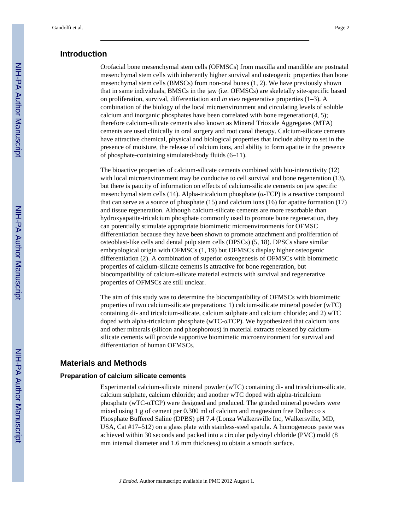## **Introduction**

Orofacial bone mesenchymal stem cells (OFMSCs) from maxilla and mandible are postnatal mesenchymal stem cells with inherently higher survival and osteogenic properties than bone mesenchymal stem cells (BMSCs) from non-oral bones (1, 2). We have previously shown that in same individuals, BMSCs in the jaw (i.e. OFMSCs) are skeletally site-specific based on proliferation, survival, differentiation and *in vivo* regenerative properties (1–3). A combination of the biology of the local microenvironment and circulating levels of soluble calcium and inorganic phosphates have been correlated with bone regeneration(4, 5); therefore calcium-silicate cements also known as Mineral Trioxide Aggregates (MTA) cements are used clinically in oral surgery and root canal therapy. Calcium-silicate cements have attractive chemical, physical and biological properties that include ability to set in the presence of moisture, the release of calcium ions, and ability to form apatite in the presence of phosphate-containing simulated-body fluids (6–11).

The bioactive properties of calcium-silicate cements combined with bio-interactivity (12) with local microenvironment may be conducive to cell survival and bone regeneration (13), but there is paucity of information on effects of calcium-silicate cements on jaw specific mesenchymal stem cells (14). Alpha-tricalcium phosphate ( $\alpha$ -TCP) is a reactive compound that can serve as a source of phosphate (15) and calcium ions (16) for apatite formation (17) and tissue regeneration. Although calcium-silicate cements are more resorbable than hydroxyapatite-tricalcium phosphate commonly used to promote bone regeneration, they can potentially stimulate appropriate biomimetic microenvironments for OFMSC differentiation because they have been shown to promote attachment and proliferation of osteoblast-like cells and dental pulp stem cells (DPSCs) (5, 18). DPSCs share similar embryological origin with OFMSCs (1, 19) but OFMSCs display higher osteogenic differentiation (2). A combination of superior osteogenesis of OFMSCs with biomimetic properties of calcium-silicate cements is attractive for bone regeneration, but biocompatibility of calcium-silicate material extracts with survival and regenerative properties of OFMSCs are still unclear.

The aim of this study was to determine the biocompatibility of OFMSCs with biomimetic properties of two calcium-silicate preparations: 1) calcium-silicate mineral powder (wTC) containing di- and tricalcium-silicate, calcium sulphate and calcium chloride; and 2) wTC doped with alpha-tricalcium phosphate (wTC-αTCP). We hypothesized that calcium ions and other minerals (silicon and phosphorous) in material extracts released by calciumsilicate cements will provide supportive biomimetic microenvironment for survival and differentiation of human OFMSCs.

## **Materials and Methods**

#### **Preparation of calcium silicate cements**

Experimental calcium-silicate mineral powder (wTC) containing di- and tricalcium-silicate, calcium sulphate, calcium chloride; and another wTC doped with alpha-tricalcium phosphate (wTC-αTCP) were designed and produced. The grinded mineral powders were mixed using 1 g of cement per 0.300 ml of calcium and magnesium free Dulbecco s Phosphate Buffered Saline (DPBS) pH 7.4 (Lonza Walkersville Inc, Walkersville, MD, USA, Cat #17–512) on a glass plate with stainless-steel spatula. A homogeneous paste was achieved within 30 seconds and packed into a circular polyvinyl chloride (PVC) mold (8 mm internal diameter and 1.6 mm thickness) to obtain a smooth surface.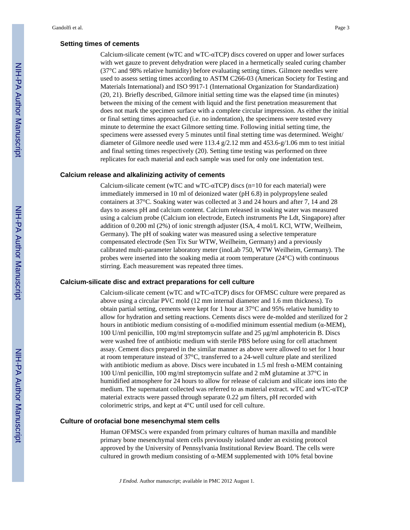#### **Setting times of cements**

Calcium-silicate cement (wTC and wTC- $\alpha$ TCP) discs covered on upper and lower surfaces with wet gauze to prevent dehydration were placed in a hermetically sealed curing chamber (37°C and 98% relative humidity) before evaluating setting times. Gilmore needles were used to assess setting times according to ASTM C266-03 (American Society for Testing and Materials International) and ISO 9917-1 (International Organization for Standardization) (20, 21). Briefly described, Gilmore initial setting time was the elapsed time (in minutes) between the mixing of the cement with liquid and the first penetration measurement that does not mark the specimen surface with a complete circular impression. As either the initial or final setting times approached (i.e. no indentation), the specimens were tested every minute to determine the exact Gilmore setting time. Following initial setting time, the specimens were assessed every 5 minutes until final stetting time was determined. Weight/ diameter of Gilmore needle used were 113.4  $g/2.12$  mm and 453.6- $g/1.06$  mm to test initial and final setting times respectively (20). Setting time testing was performed on three replicates for each material and each sample was used for only one indentation test.

#### **Calcium release and alkalinizing activity of cements**

Calcium-silicate cement (wTC and wTC- $\alpha$ TCP) discs (n=10 for each material) were immediately immersed in 10 ml of deionized water (pH 6.8) in polypropylene sealed containers at 37°C. Soaking water was collected at 3 and 24 hours and after 7, 14 and 28 days to assess pH and calcium content. Calcium released in soaking water was measured using a calcium probe (Calcium ion electrode, Eutech instruments Pte Ldt, Singapore) after addition of 0.200 ml (2%) of ionic strength adjuster (ISA, 4 mol/L KCl, WTW, Weilheim, Germany). The pH of soaking water was measured using a selective temperature compensated electrode (Sen Tix Sur WTW, Weilheim, Germany) and a previously calibrated multi-parameter laboratory meter (inoLab 750, WTW Weilheim, Germany). The probes were inserted into the soaking media at room temperature (24°C) with continuous stirring. Each measurement was repeated three times.

#### **Calcium-silicate disc and extract preparations for cell culture**

Calcium-silicate cement (wTC and wTC-αTCP) discs for OFMSC culture were prepared as above using a circular PVC mold (12 mm internal diameter and 1.6 mm thickness). To obtain partial setting, cements were kept for 1 hour at 37°C and 95% relative humidity to allow for hydration and setting reactions. Cements discs were de-molded and sterilized for 2 hours in antibiotic medium consisting of α-modified minimum essential medium ( $α$ -MEM), 100 U/ml penicillin, 100 mg/ml streptomycin sulfate and 25 μg/ml amphotericin B. Discs were washed free of antibiotic medium with sterile PBS before using for cell attachment assay. Cement discs prepared in the similar manner as above were allowed to set for 1 hour at room temperature instead of 37°C, transferred to a 24-well culture plate and sterilized with antibiotic medium as above. Discs were incubated in 1.5 ml fresh  $\alpha$ -MEM containing 100 U/ml penicillin, 100 mg/ml streptomycin sulfate and 2 mM glutamine at 37°C in humidified atmosphere for 24 hours to allow for release of calcium and silicate ions into the medium. The supernatant collected was referred to as material extract. wTC and wTC-αTCP material extracts were passed through separate 0.22 μm filters, pH recorded with colorimetric strips, and kept at 4°C until used for cell culture.

#### **Culture of orofacial bone mesenchymal stem cells**

Human OFMSCs were expanded from primary cultures of human maxilla and mandible primary bone mesenchymal stem cells previously isolated under an existing protocol approved by the University of Pennsylvania Institutional Review Board. The cells were cultured in growth medium consisting of α-MEM supplemented with 10% fetal bovine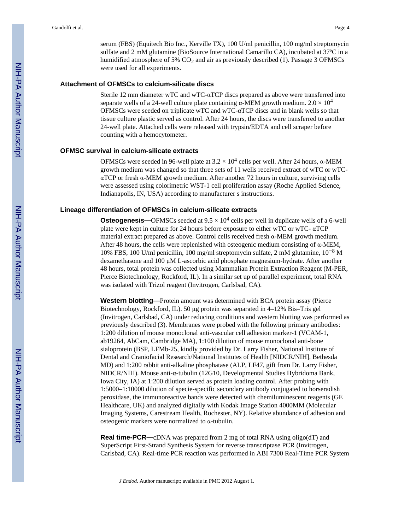serum (FBS) (Equitech Bio Inc., Kerville TX), 100 U/ml penicillin, 100 mg/ml streptomycin sulfate and 2 mM glutamine (BioSource International Camarillo CA), incubated at 37ºC in a humidified atmosphere of 5%  $CO<sub>2</sub>$  and air as previously described (1). Passage 3 OFMSCs were used for all experiments.

#### **Attachment of OFMSCs to calcium-silicate discs**

Sterile 12 mm diameter wTC and wTC- $\alpha$ TCP discs prepared as above were transferred into separate wells of a 24-well culture plate containing  $\alpha$ -MEM growth medium.  $2.0 \times 10^4$ OFMSCs were seeded on triplicate wTC and wTC-αTCP discs and in blank wells so that tissue culture plastic served as control. After 24 hours, the discs were transferred to another 24-well plate. Attached cells were released with trypsin/EDTA and cell scraper before counting with a hemocytometer.

#### **OFMSC survival in calcium-silicate extracts**

OFMSCs were seeded in 96-well plate at  $3.2 \times 10^4$  cells per well. After 24 hours, α-MEM growth medium was changed so that three sets of 11 wells received extract of wTC or wTCαTCP or fresh α-MEM growth medium. After another 72 hours in culture, surviving cells were assessed using colorimetric WST-1 cell proliferation assay (Roche Applied Science, Indianapolis, IN, USA) according to manufacturer s instructions.

#### **Lineage differentiation of OFMSCs in calcium-silicate extracts**

**Osteogenesis—**OFMSCs seeded at  $9.5 \times 10^4$  cells per well in duplicate wells of a 6-well plate were kept in culture for 24 hours before exposure to either wTC or wTC- αTCP material extract prepared as above. Control cells received fresh α-MEM growth medium. After 48 hours, the cells were replenished with osteogenic medium consisting of  $\alpha$ -MEM, 10% FBS, 100 U/ml penicillin, 100 mg/ml streptomycin sulfate, 2 mM glutamine, 10−<sup>8</sup> M dexamethasone and 100 μM L-ascorbic acid phosphate magnesium-hydrate. After another 48 hours, total protein was collected using Mammalian Protein Extraction Reagent (M-PER, Pierce Biotechnology, Rockford, IL). In a similar set up of parallel experiment, total RNA was isolated with Trizol reagent (Invitrogen, Carlsbad, CA).

**Western blotting—**Protein amount was determined with BCA protein assay (Pierce Biotechnology, Rockford, IL). 50 μg protein was separated in 4–12% Bis–Tris gel (Invitrogen, Carlsbad, CA) under reducing conditions and western blotting was performed as previously described (3). Membranes were probed with the following primary antibodies: 1:200 dilution of mouse monoclonal anti-vascular cell adhesion marker-1 (VCAM-1, ab19264, AbCam, Cambridge MA), 1:100 dilution of mouse monoclonal anti-bone sialoprotein (BSP, LFMb-25, kindly provided by Dr. Larry Fisher, National Institute of Dental and Craniofacial Research/National Institutes of Health [NIDCR/NIH], Bethesda MD) and 1:200 rabbit anti-alkaline phosphatase (ALP, LF47, gift from Dr. Larry Fisher, NIDCR/NIH). Mouse anti-α-tubulin (12G10, Developmental Studies Hybridoma Bank, Iowa City, IA) at 1:200 dilution served as protein loading control. After probing with 1:5000–1:10000 dilution of specie-specific secondary antibody conjugated to horseradish peroxidase, the immunoreactive bands were detected with chemiluminescent reagents (GE Healthcare, UK) and analyzed digitally with Kodak Image Station 4000MM (Molecular Imaging Systems, Carestream Health, Rochester, NY). Relative abundance of adhesion and osteogenic markers were normalized to α-tubulin.

**Real time-PCR—cDNA** was prepared from 2 mg of total RNA using oligo(dT) and SuperScript First-Strand Synthesis System for reverse transcriptase PCR (Invitrogen, Carlsbad, CA). Real-time PCR reaction was performed in ABI 7300 Real-Time PCR System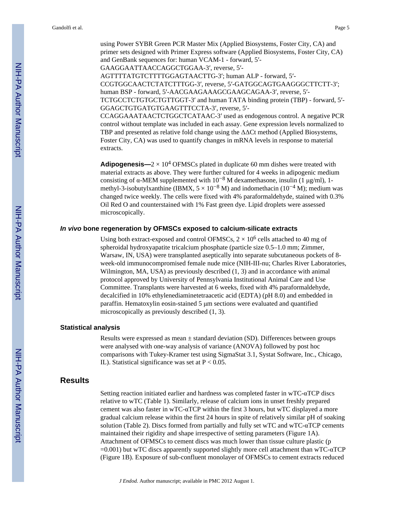using Power SYBR Green PCR Master Mix (Applied Biosystems, Foster City, CA) and primer sets designed with Primer Express software (Applied Biosystems, Foster City, CA) and GenBank sequences for: human VCAM-1 - forward, 5′- GAAGGAATTAACCAGGCTGGAA-3′, reverse, 5′- AGTTTTATGTCTTTTGGAGTAACTTG-3′; human ALP - forward, 5′- CCGTGGCAACTCTATCTTTGG-3′, reverse, 5′-GATGGCAGTGAAGGGCTTCTT-3′; human BSP - forward, 5′-AACGAAGAAAGCGAAGCAGAA-3′, reverse, 5′- TCTGCCTCTGTGCTGTTGGT-3′ and human TATA binding protein (TBP) - forward, 5′- GGAGCTGTGATGTGAAGTTTCCTA-3′, reverse, 5′- CCAGGAAATAACTCTGGCTCATAAC-3′ used as endogenous control. A negative PCR control without template was included in each assay. Gene expression levels normalized to TBP and presented as relative fold change using the ΔΔCt method (Applied Biosystems, Foster City, CA) was used to quantify changes in mRNA levels in response to material

extracts.

**Adipogenesis—** $2 \times 10^4$  OFMSCs plated in duplicate 60 mm dishes were treated with material extracts as above. They were further cultured for 4 weeks in adipogenic medium consisting of α-MEM supplemented with  $10^{-8}$  M dexamethasone, insulin (1 μg/ml), 1methyl-3-isobutylxanthine (IBMX,  $5 \times 10^{-8}$  M) and indomethacin (10<sup>-4</sup> M); medium was changed twice weekly. The cells were fixed with 4% paraformaldehyde, stained with 0.3% Oil Red O and counterstained with 1% Fast green dye. Lipid droplets were assessed microscopically.

#### *In vivo* **bone regeneration by OFMSCs exposed to calcium-silicate extracts**

Using both extract-exposed and control OFMSCs,  $2 \times 10^6$  cells attached to 40 mg of spheroidal hydroxyapatite tricalcium phosphate (particle size 0.5–1.0 mm; Zimmer, Warsaw, IN, USA) were transplanted aseptically into separate subcutaneous pockets of 8 week-old immunocompromised female nude mice (NIH-III-nu; Charles River Laboratories, Wilmington, MA, USA) as previously described (1, 3) and in accordance with animal protocol approved by University of Pennsylvania Institutional Animal Care and Use Committee. Transplants were harvested at 6 weeks, fixed with 4% paraformaldehyde, decalcified in 10% ethylenediaminetetraacetic acid (EDTA) (pH 8.0) and embedded in paraffin. Hematoxylin eosin-stained 5 μm sections were evaluated and quantified microscopically as previously described (1, 3).

#### **Statistical analysis**

Results were expressed as mean ± standard deviation (SD). Differences between groups were analysed with one-way analysis of variance (ANOVA) followed by post hoc comparisons with Tukey-Kramer test using SigmaStat 3.1, Systat Software, Inc., Chicago, IL). Statistical significance was set at  $P < 0.05$ .

## **Results**

Setting reaction initiated earlier and hardness was completed faster in wTC- $\alpha$ TCP discs relative to wTC (Table 1). Similarly, release of calcium ions in unset freshly prepared cement was also faster in wTC-αTCP within the first 3 hours, but wTC displayed a more gradual calcium release within the first 24 hours in spite of relatively similar pH of soaking solution (Table 2). Discs formed from partially and fully set wTC and wTC-αTCP cements maintained their rigidity and shape irrespective of setting parameters (Figure 1A). Attachment of OFMSCs to cement discs was much lower than tissue culture plastic (p  $=0.001$ ) but wTC discs apparently supported slightly more cell attachment than wTC- $\alpha$ TCP (Figure 1B). Exposure of sub-confluent monolayer of OFMSCs to cement extracts reduced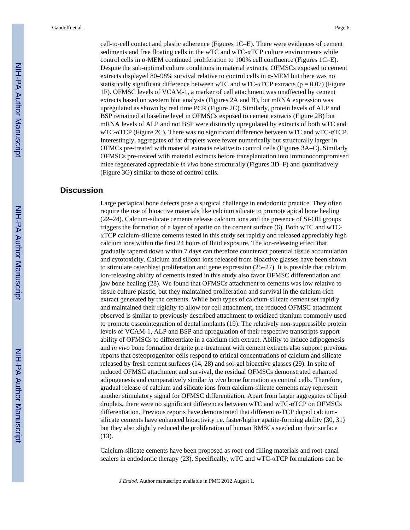cell-to-cell contact and plastic adherence (Figures 1C–E). There were evidences of cement sediments and free floating cells in the wTC and wTC- $\alpha$ TCP culture environments while control cells in α-MEM continued proliferation to 100% cell confluence (Figures 1C–E). Despite the sub-optimal culture conditions in material extracts, OFMSCs exposed to cement extracts displayed 80–98% survival relative to control cells in α-MEM but there was no statistically significant difference between wTC and wTC- $\alpha$ TCP extracts ( $p = 0.07$ ) (Figure 1F). OFMSC levels of VCAM-1, a marker of cell attachment was unaffected by cement extracts based on western blot analysis (Figures 2A and B), but mRNA expression was upregulated as shown by real time PCR (Figure 2C). Similarly, protein levels of ALP and BSP remained at baseline level in OFMSCs exposed to cement extracts (Figure 2B) but mRNA levels of ALP and not BSP were distinctly upregulated by extracts of both wTC and wTC-αTCP (Figure 2C). There was no significant difference between wTC and wTC-αTCP. Interestingly, aggregates of fat droplets were fewer numerically but structurally larger in OFMCs pre-treated with material extracts relative to control cells (Figures 3A–C). Similarly OFMSCs pre-treated with material extracts before transplantation into immunocompromised mice regenerated appreciable *in vivo* bone structurally (Figures 3D–F) and quantitatively (Figure 3G) similar to those of control cells.

## **Discussion**

Large periapical bone defects pose a surgical challenge in endodontic practice. They often require the use of bioactive materials like calcium silicate to promote apical bone healing (22–24). Calcium-silicate cements release calcium ions and the presence of Si-OH groups triggers the formation of a layer of apatite on the cement surface (6). Both wTC and wTCαTCP calcium-silicate cements tested in this study set rapidly and released appreciably high calcium ions within the first 24 hours of fluid exposure. The ion-releasing effect that gradually tapered down within 7 days can therefore counteract potential tissue accumulation and cytotoxicity. Calcium and silicon ions released from bioactive glasses have been shown to stimulate osteoblast proliferation and gene expression (25–27). It is possible that calcium ion-releasing ability of cements tested in this study also favor OFMSC differentiation and jaw bone healing (28). We found that OFMSCs attachment to cements was low relative to tissue culture plastic, but they maintained proliferation and survival in the calcium-rich extract generated by the cements. While both types of calcium-silicate cement set rapidly and maintained their rigidity to allow for cell attachment, the reduced OFMSC attachment observed is similar to previously described attachment to oxidized titanium commonly used to promote osseointegration of dental implants (19). The relatively non-suppressible protein levels of VCAM-1, ALP and BSP and upregulation of their respective transcripts support ability of OFMSCs to differentiate in a calcium rich extract. Ability to induce adipogenesis and *in vivo* bone formation despite pre-treatment with cement extracts also support previous reports that osteoprogenitor cells respond to critical concentrations of calcium and silicate released by fresh cement surfaces (14, 28) and sol-gel bioactive glasses (29). In spite of reduced OFMSC attachment and survival, the residual OFMSCs demonstrated enhanced adipogenesis and comparatively similar *in vivo* bone formation as control cells. Therefore, gradual release of calcium and silicate ions from calcium-silicate cements may represent another stimulatory signal for OFMSC differentiation. Apart from larger aggregates of lipid droplets, there were no significant differences between wTC and wTC-αTCP on OFMSCs differentiation. Previous reports have demonstrated that different α-TCP doped calciumsilicate cements have enhanced bioactivity i.e. faster/higher apatite-forming ability (30, 31) but they also slightly reduced the proliferation of human BMSCs seeded on their surface (13).

Calcium-silicate cements have been proposed as root-end filling materials and root-canal sealers in endodontic therapy (23). Specifically, wTC and wTC-αTCP formulations can be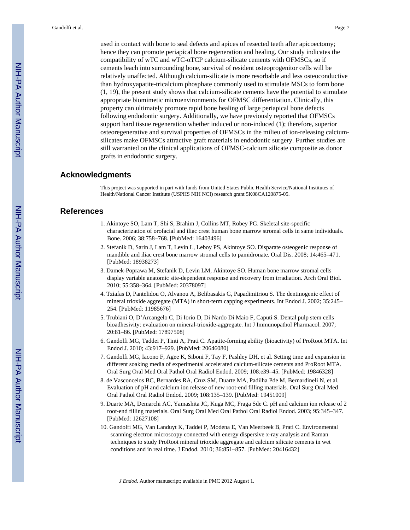used in contact with bone to seal defects and apices of resected teeth after apicoectomy; hence they can promote periapical bone regeneration and healing. Our study indicates the compatibility of wTC and wTC-αTCP calcium-silicate cements with OFMSCs, so if cements leach into surrounding bone, survival of resident osteoprogenitor cells will be relatively unaffected. Although calcium-silicate is more resorbable and less osteoconductive than hydroxyapatite-tricalcium phosphate commonly used to stimulate MSCs to form bone (1, 19), the present study shows that calcium-silicate cements have the potential to stimulate appropriate biomimetic microenvironments for OFMSC differentiation. Clinically, this property can ultimately promote rapid bone healing of large periapical bone defects following endodontic surgery. Additionally, we have previously reported that OFMSCs support hard tissue regeneration whether induced or non-induced (1); therefore, superior osteoregenerative and survival properties of OFMSCs in the milieu of ion-releasing calciumsilicates make OFMSCs attractive graft materials in endodontic surgery. Further studies are still warranted on the clinical applications of OFMSC-calcium silicate composite as donor grafts in endodontic surgery.

#### **Acknowledgments**

This project was supported in part with funds from United States Public Health Service/National Institutes of Health/National Cancer Institute (USPHS NIH NCI) research grant 5K08CA120875-05.

## **References**

- 1. Akintoye SO, Lam T, Shi S, Brahim J, Collins MT, Robey PG. Skeletal site-specific characterization of orofacial and iliac crest human bone marrow stromal cells in same individuals. Bone. 2006; 38:758–768. [PubMed: 16403496]
- 2. Stefanik D, Sarin J, Lam T, Levin L, Leboy PS, Akintoye SO. Disparate osteogenic response of mandible and iliac crest bone marrow stromal cells to pamidronate. Oral Dis. 2008; 14:465–471. [PubMed: 18938273]
- 3. Damek-Poprawa M, Stefanik D, Levin LM, Akintoye SO. Human bone marrow stromal cells display variable anatomic site-dependent response and recovery from irradiation. Arch Oral Biol. 2010; 55:358–364. [PubMed: 20378097]
- 4. Tziafas D, Pantelidou O, Alvanou A, Belibasakis G, Papadimitriou S. The dentinogenic effect of mineral trioxide aggregate (MTA) in short-term capping experiments. Int Endod J. 2002; 35:245– 254. [PubMed: 11985676]
- 5. Trubiani O, D'Arcangelo C, Di Iorio D, Di Nardo Di Maio F, Caputi S. Dental pulp stem cells bioadhesivity: evaluation on mineral-trioxide-aggregate. Int J Immunopathol Pharmacol. 2007; 20:81–86. [PubMed: 17897508]
- 6. Gandolfi MG, Taddei P, Tinti A, Prati C. Apatite-forming ability (bioactivity) of ProRoot MTA. Int Endod J. 2010; 43:917–929. [PubMed: 20646080]
- 7. Gandolfi MG, Iacono F, Agee K, Siboni F, Tay F, Pashley DH, et al. Setting time and expansion in different soaking media of experimental accelerated calcium-silicate cements and ProRoot MTA. Oral Surg Oral Med Oral Pathol Oral Radiol Endod. 2009; 108:e39–45. [PubMed: 19846328]
- 8. de Vasconcelos BC, Bernardes RA, Cruz SM, Duarte MA, Padilha Pde M, Bernardineli N, et al. Evaluation of pH and calcium ion release of new root-end filling materials. Oral Surg Oral Med Oral Pathol Oral Radiol Endod. 2009; 108:135–139. [PubMed: 19451009]
- 9. Duarte MA, Demarchi AC, Yamashita JC, Kuga MC, Fraga Sde C. pH and calcium ion release of 2 root-end filling materials. Oral Surg Oral Med Oral Pathol Oral Radiol Endod. 2003; 95:345–347. [PubMed: 12627108]
- 10. Gandolfi MG, Van Landuyt K, Taddei P, Modena E, Van Meerbeek B, Prati C. Environmental scanning electron microscopy connected with energy dispersive x-ray analysis and Raman techniques to study ProRoot mineral trioxide aggregate and calcium silicate cements in wet conditions and in real time. J Endod. 2010; 36:851–857. [PubMed: 20416432]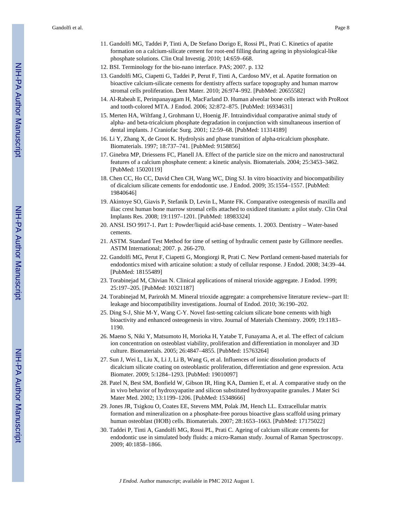- 11. Gandolfi MG, Taddei P, Tinti A, De Stefano Dorigo E, Rossi PL, Prati C. Kinetics of apatite formation on a calcium-silicate cement for root-end filling during ageing in physiological-like phosphate solutions. Clin Oral Investig. 2010; 14:659–668.
- 12. BSI. Terminology for the bio-nano interface. PAS; 2007. p. 132
- 13. Gandolfi MG, Ciapetti G, Taddei P, Perut F, Tinti A, Cardoso MV, et al. Apatite formation on bioactive calcium-silicate cements for dentistry affects surface topography and human marrow stromal cells proliferation. Dent Mater. 2010; 26:974–992. [PubMed: 20655582]
- 14. Al-Rabeah E, Perinpanayagam H, MacFarland D. Human alveolar bone cells interact with ProRoot and tooth-colored MTA. J Endod. 2006; 32:872–875. [PubMed: 16934631]
- 15. Merten HA, Wiltfang J, Grohmann U, Hoenig JF. Intraindividual comparative animal study of alpha- and beta-tricalcium phosphate degradation in conjunction with simultaneous insertion of dental implants. J Craniofac Surg. 2001; 12:59–68. [PubMed: 11314189]
- 16. Li Y, Zhang X, de Groot K. Hydrolysis and phase transition of alpha-tricalcium phosphate. Biomaterials. 1997; 18:737–741. [PubMed: 9158856]
- 17. Ginebra MP, Driessens FC, Planell JA. Effect of the particle size on the micro and nanostructural features of a calcium phosphate cement: a kinetic analysis. Biomaterials. 2004; 25:3453–3462. [PubMed: 15020119]
- 18. Chen CC, Ho CC, David Chen CH, Wang WC, Ding SJ. In vitro bioactivity and biocompatibility of dicalcium silicate cements for endodontic use. J Endod. 2009; 35:1554–1557. [PubMed: 19840646]
- 19. Akintoye SO, Giavis P, Stefanik D, Levin L, Mante FK. Comparative osteogenesis of maxilla and iliac crest human bone marrow stromal cells attached to oxidized titanium: a pilot study. Clin Oral Implants Res. 2008; 19:1197–1201. [PubMed: 18983324]
- 20. ANSI. ISO 9917-1. Part 1: Powder/liquid acid-base cements. 1. 2003. Dentistry Water-based cements.
- 21. ASTM. Standard Test Method for time of setting of hydraulic cement paste by Gillmore needles. ASTM International; 2007. p. 266-270.
- 22. Gandolfi MG, Perut F, Ciapetti G, Mongiorgi R, Prati C. New Portland cement-based materials for endodontics mixed with articaine solution: a study of cellular response. J Endod. 2008; 34:39–44. [PubMed: 18155489]
- 23. Torabinejad M, Chivian N. Clinical applications of mineral trioxide aggregate. J Endod. 1999; 25:197–205. [PubMed: 10321187]
- 24. Torabinejad M, Parirokh M. Mineral trioxide aggregate: a comprehensive literature review--part II: leakage and biocompatibility investigations. Journal of Endod. 2010; 36:190–202.
- 25. Ding S-J, Shie M-Y, Wang C-Y. Novel fast-setting calcium silicate bone cements with high bioactivity and enhanced osteogenesis in vitro. Journal of Materials Chemistry. 2009; 19:1183– 1190.
- 26. Maeno S, Niki Y, Matsumoto H, Morioka H, Yatabe T, Funayama A, et al. The effect of calcium ion concentration on osteoblast viability, proliferation and differentiation in monolayer and 3D culture. Biomaterials. 2005; 26:4847–4855. [PubMed: 15763264]
- 27. Sun J, Wei L, Liu X, Li J, Li B, Wang G, et al. Influences of ionic dissolution products of dicalcium silicate coating on osteoblastic proliferation, differentiation and gene expression. Acta Biomater. 2009; 5:1284–1293. [PubMed: 19010097]
- 28. Patel N, Best SM, Bonfield W, Gibson IR, Hing KA, Damien E, et al. A comparative study on the in vivo behavior of hydroxyapatite and silicon substituted hydroxyapatite granules. J Mater Sci Mater Med. 2002; 13:1199–1206. [PubMed: 15348666]
- 29. Jones JR, Tsigkou O, Coates EE, Stevens MM, Polak JM, Hench LL. Extracellular matrix formation and mineralization on a phosphate-free porous bioactive glass scaffold using primary human osteoblast (HOB) cells. Biomaterials. 2007; 28:1653–1663. [PubMed: 17175022]
- 30. Taddei P, Tinti A, Gandolfi MG, Rossi PL, Prati C. Ageing of calcium silicate cements for endodontic use in simulated body fluids: a micro-Raman study. Journal of Raman Spectroscopy. 2009; 40:1858–1866.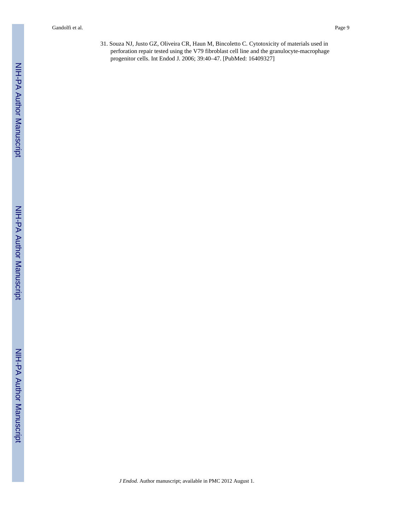31. Souza NJ, Justo GZ, Oliveira CR, Haun M, Bincoletto C. Cytotoxicity of materials used in perforation repair tested using the V79 fibroblast cell line and the granulocyte-macrophage progenitor cells. Int Endod J. 2006; 39:40–47. [PubMed: 16409327]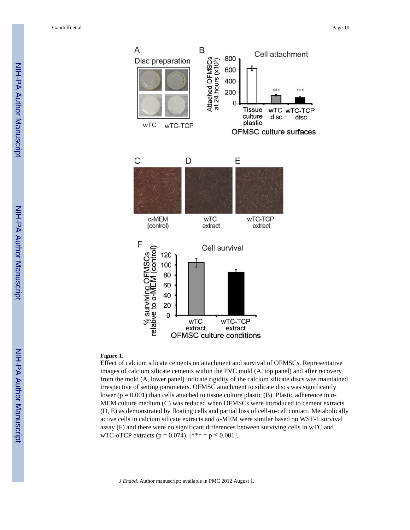Gandolfi et al. Page 10



#### **Figure 1.**

Effect of calcium silicate cements on attachment and survival of OFMSCs. Representative images of calcium silicate cements within the PVC mold (A, top panel) and after recovery from the mold (A, lower panel) indicate rigidity of the calcium silicate discs was maintained irrespective of setting parameters. OFMSC attachment to silicate discs was significantly lower (p = 0.001) than cells attached to tissue culture plastic (B). Plastic adherence in α-MEM culture medium (C) was reduced when OFMSCs were introduced to cement extracts (D, E) as demonstrated by floating cells and partial loss of cell-to-cell contact. Metabolically active cells in calcium silicate extracts and α-MEM were similar based on WST-1 survival assay (F) and there were no significant differences between surviving cells in wTC and wTC-αTCP extracts ( $p = 0.074$ ). [\*\*\* =  $p \le 0.001$ ].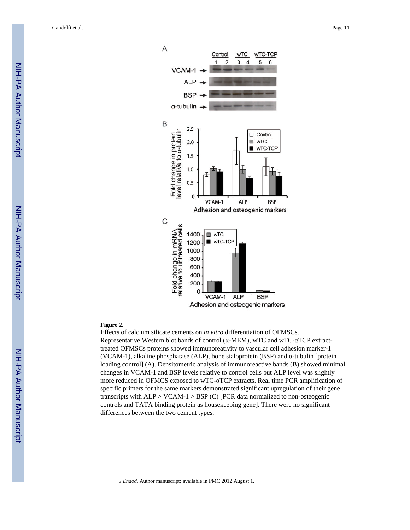Gandolfi et al. Page 11



#### **Figure 2.**

Effects of calcium silicate cements on *in vitro* differentiation of OFMSCs. Representative Western blot bands of control (α-MEM), wTC and wTC-αTCP extracttreated OFMSCs proteins showed immunoreativity to vascular cell adhesion marker-1 (VCAM-1), alkaline phosphatase (ALP), bone sialoprotein (BSP) and  $\alpha$ -tubulin [protein] loading control] (A). Densitometric analysis of immunoreactive bands (B) showed minimal changes in VCAM-1 and BSP levels relative to control cells but ALP level was slightly more reduced in OFMCS exposed to wTC-αTCP extracts. Real time PCR amplification of specific primers for the same markers demonstrated significant upregulation of their gene transcripts with  $ALP > VCAM-1 > BSP$  (C) [PCR data normalized to non-osteogenic controls and TATA binding protein as housekeeping gene]. There were no significant differences between the two cement types.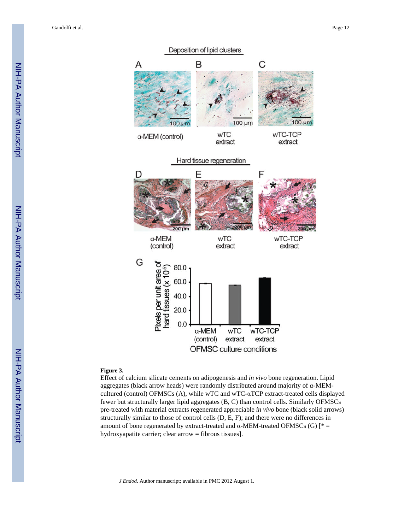Gandolfi et al. Page 12



#### **Figure 3.**

Effect of calcium silicate cements on adipogenesis and *in vivo* bone regeneration. Lipid aggregates (black arrow heads) were randomly distributed around majority of α-MEMcultured (control) OFMSCs (A), while wTC and wTC-αTCP extract-treated cells displayed fewer but structurally larger lipid aggregates (B, C) than control cells. Similarly OFMSCs pre-treated with material extracts regenerated appreciable *in vivo* bone (black solid arrows) structurally similar to those of control cells (D, E, F); and there were no differences in amount of bone regenerated by extract-treated and  $α$ -MEM-treated OFMSCs (G) [ $* =$ hydroxyapatite carrier; clear arrow = fibrous tissues].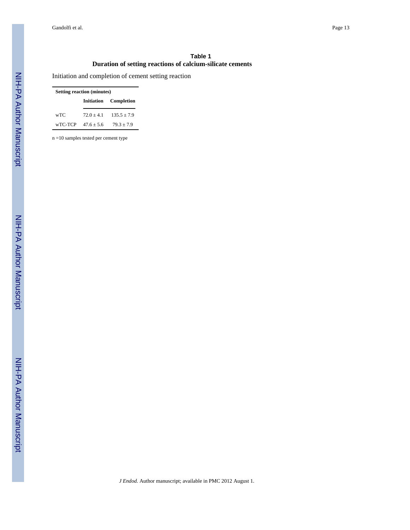#### **Table 1 Duration of setting reactions of calcium-silicate cements**

Initiation and completion of cement setting reaction

| <b>Setting reaction (minutes)</b> |                                   |                            |  |  |  |
|-----------------------------------|-----------------------------------|----------------------------|--|--|--|
|                                   |                                   | Initiation Completion      |  |  |  |
| wTC                               |                                   | $72.0 + 4.1$ $135.5 + 7.9$ |  |  |  |
|                                   | $\text{wTC-TCP} \quad 47.6 + 5.6$ | $79.3 + 7.9$               |  |  |  |

n =10 samples tested per cement type